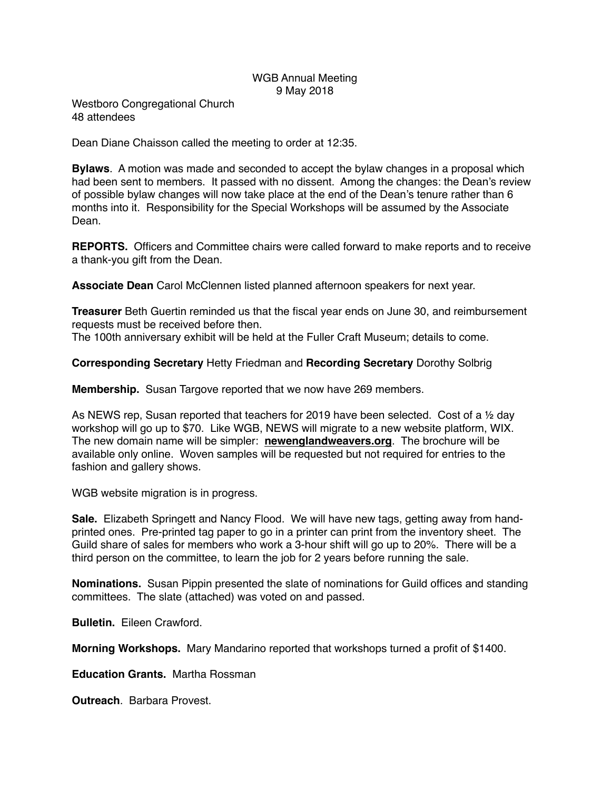## WGB Annual Meeting 9 May 2018

Westboro Congregational Church 48 attendees

Dean Diane Chaisson called the meeting to order at 12:35.

**Bylaws**. A motion was made and seconded to accept the bylaw changes in a proposal which had been sent to members. It passed with no dissent. Among the changes: the Dean's review of possible bylaw changes will now take place at the end of the Dean's tenure rather than 6 months into it. Responsibility for the Special Workshops will be assumed by the Associate Dean.

**REPORTS.** Officers and Committee chairs were called forward to make reports and to receive a thank-you gift from the Dean.

**Associate Dean** Carol McClennen listed planned afternoon speakers for next year.

**Treasurer** Beth Guertin reminded us that the fiscal year ends on June 30, and reimbursement requests must be received before then.

The 100th anniversary exhibit will be held at the Fuller Craft Museum; details to come.

## **Corresponding Secretary** Hetty Friedman and **Recording Secretary** Dorothy Solbrig

**Membership.** Susan Targove reported that we now have 269 members.

As NEWS rep, Susan reported that teachers for 2019 have been selected. Cost of a  $\frac{1}{2}$  day workshop will go up to \$70. Like WGB, NEWS will migrate to a new website platform, WIX. The new domain name will be simpler: **[newenglandweavers.org](http://newenglandweavers.org)**. The brochure will be available only online. Woven samples will be requested but not required for entries to the fashion and gallery shows.

WGB website migration is in progress.

**Sale.** Elizabeth Springett and Nancy Flood. We will have new tags, getting away from handprinted ones. Pre-printed tag paper to go in a printer can print from the inventory sheet. The Guild share of sales for members who work a 3-hour shift will go up to 20%. There will be a third person on the committee, to learn the job for 2 years before running the sale.

**Nominations.** Susan Pippin presented the slate of nominations for Guild offices and standing committees. The slate (attached) was voted on and passed.

**Bulletin.** Eileen Crawford.

**Morning Workshops.** Mary Mandarino reported that workshops turned a profit of \$1400.

**Education Grants.** Martha Rossman

**Outreach**. Barbara Provest.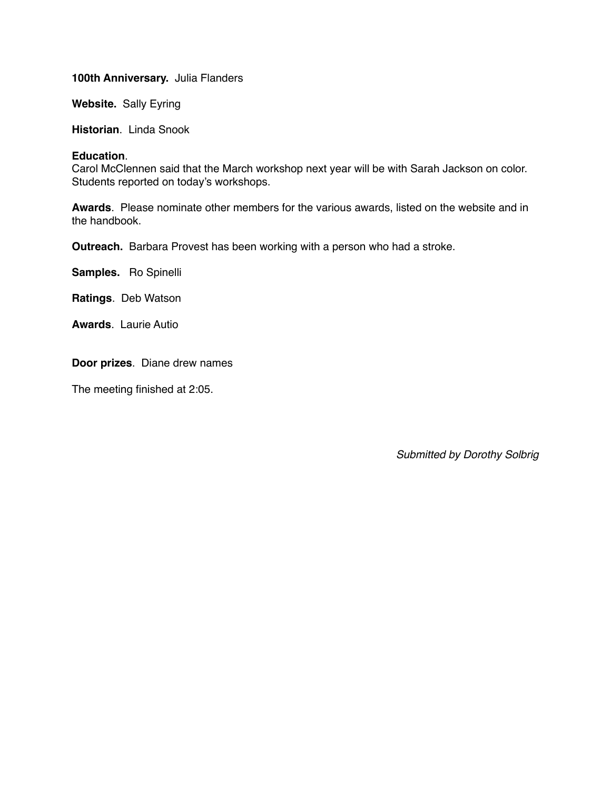**100th Anniversary.** Julia Flanders

**Website.** Sally Eyring

**Historian**. Linda Snook

## **Education**.

Carol McClennen said that the March workshop next year will be with Sarah Jackson on color. Students reported on today's workshops.

**Awards**. Please nominate other members for the various awards, listed on the website and in the handbook.

**Outreach.** Barbara Provest has been working with a person who had a stroke.

**Samples.** Ro Spinelli

**Ratings**. Deb Watson

**Awards**. Laurie Autio

**Door prizes**. Diane drew names

The meeting finished at 2:05.

*Submitted by Dorothy Solbrig*